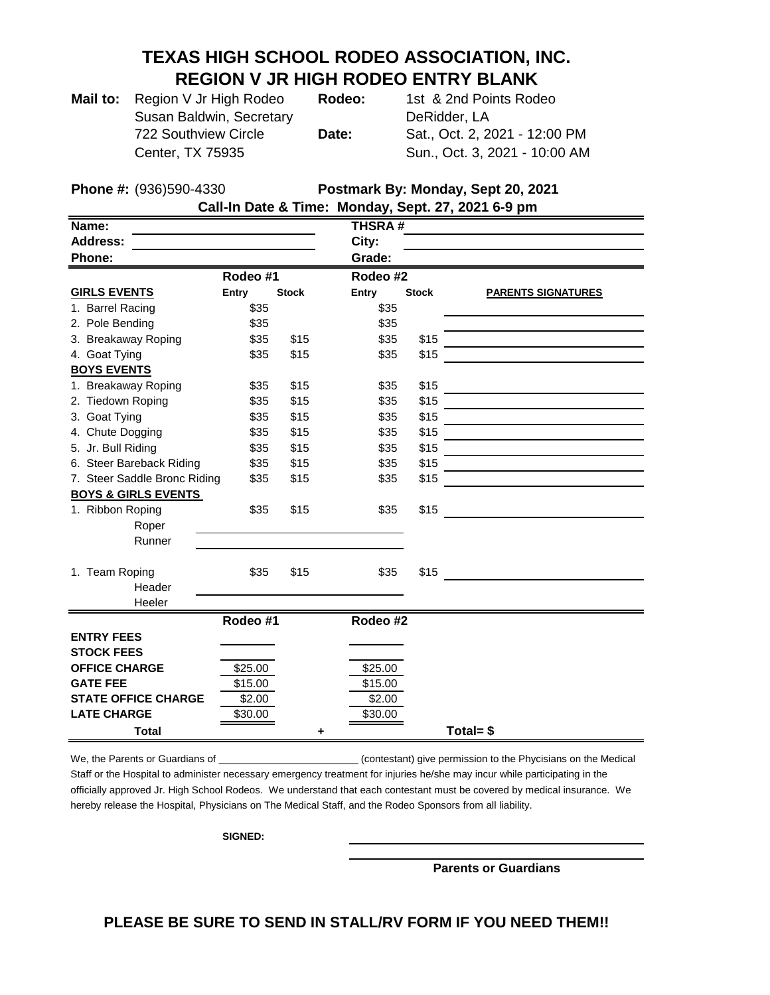## **TEXAS HIGH SCHOOL RODEO ASSOCIATION, INC. REGION V JR HIGH RODEO ENTRY BLANK**

| Mail to: Region V Jr High Rodeo | <b>Rode</b> |
|---------------------------------|-------------|
| Susan Baldwin, Secretary        |             |
| 722 Southview Circle            | <b>Date</b> |
| Center, TX 75935                |             |

**Mail 1** Ast & 2nd Points Rodeo DeRidder, LA 722 Southview Circle **Date:** Sat., Oct. 2, 2021 - 12:00 PM Sun., Oct. 3, 2021 - 10:00 AM

**Phone #:** (936)590-4330 **Postmark By: Monday, Sept 20, 2021**

| Call-In Date & Time: Monday, Sept. 27, 2021 6-9 pm |  |
|----------------------------------------------------|--|
|                                                    |  |
| T1100AH                                            |  |

| Name:                          |          |              | <b>THSRA#</b> |              |                                                             |
|--------------------------------|----------|--------------|---------------|--------------|-------------------------------------------------------------|
| <b>Address:</b>                |          |              | City:         |              |                                                             |
| Phone:                         |          |              | Grade:        |              |                                                             |
|                                | Rodeo #1 |              | Rodeo #2      |              |                                                             |
| <b>GIRLS EVENTS</b>            | Entry    | <b>Stock</b> | Entry         | <b>Stock</b> | <b>PARENTS SIGNATURES</b>                                   |
| 1. Barrel Racing               | \$35     |              | \$35          |              |                                                             |
| 2. Pole Bending                | \$35     |              | \$35          |              |                                                             |
| 3. Breakaway Roping            | \$35     | \$15         | \$35          | \$15         |                                                             |
| 4. Goat Tying                  | \$35     | \$15         | \$35          | \$15         |                                                             |
| <b>BOYS EVENTS</b>             |          |              |               |              |                                                             |
| 1. Breakaway Roping            | \$35     | \$15         | \$35          | \$15         | <u> 1989 - Johann Barnett, fransk politiker (d. 1989)</u>   |
| 2. Tiedown Roping              | \$35     | \$15         | \$35          | \$15         |                                                             |
| 3. Goat Tying                  | \$35     | \$15         | \$35          | \$15         | <u> 1980 - John Stein, Amerikaansk politiker (</u>          |
| 4. Chute Dogging               | \$35     | \$15         | \$35          | \$15         |                                                             |
| 5. Jr. Bull Riding             | \$35     | \$15         | \$35          | \$15         |                                                             |
| 6. Steer Bareback Riding       | \$35     | \$15         | \$35          | \$15         |                                                             |
| 7. Steer Saddle Bronc Riding   | \$35     | \$15         | \$35          | \$15         |                                                             |
| <b>BOYS &amp; GIRLS EVENTS</b> |          |              |               |              |                                                             |
| 1. Ribbon Roping               | \$35     | \$15         | \$35          | \$15         | the control of the control of the control of the control of |
| Roper                          |          |              |               |              |                                                             |
| Runner                         |          |              |               |              |                                                             |
|                                |          |              |               |              |                                                             |
| 1. Team Roping                 | \$35     | \$15         | \$35          | \$15         |                                                             |
| Header                         |          |              |               |              |                                                             |
| Heeler                         |          |              |               |              |                                                             |
|                                | Rodeo #1 |              | Rodeo #2      |              |                                                             |
| <b>ENTRY FEES</b>              |          |              |               |              |                                                             |
| <b>STOCK FEES</b>              |          |              |               |              |                                                             |
| <b>OFFICE CHARGE</b>           | \$25.00  |              | \$25.00       |              |                                                             |
| <b>GATE FEE</b>                | \$15.00  |              | \$15.00       |              |                                                             |
| <b>STATE OFFICE CHARGE</b>     | \$2.00   |              | \$2.00        |              |                                                             |
| <b>LATE CHARGE</b>             | \$30.00  |              | \$30.00       |              |                                                             |
| <b>Total</b>                   |          | ٠            |               |              | Total= \$                                                   |

We, the Parents or Guardians of \_\_\_\_\_\_\_\_\_\_\_\_\_\_\_\_\_\_\_\_\_\_\_\_\_\_\_\_\_\_\_\_\_(contestant) give permission to the Phycisians on the Medical Staff or the Hospital to administer necessary emergency treatment for injuries he/she may incur while participating in the

officially approved Jr. High School Rodeos. We understand that each contestant must be covered by medical insurance. We hereby release the Hospital, Physicians on The Medical Staff, and the Rodeo Sponsors from all liability.

**SIGNED:** 

**Parents or Guardians**

**PLEASE BE SURE TO SEND IN STALL/RV FORM IF YOU NEED THEM!!**